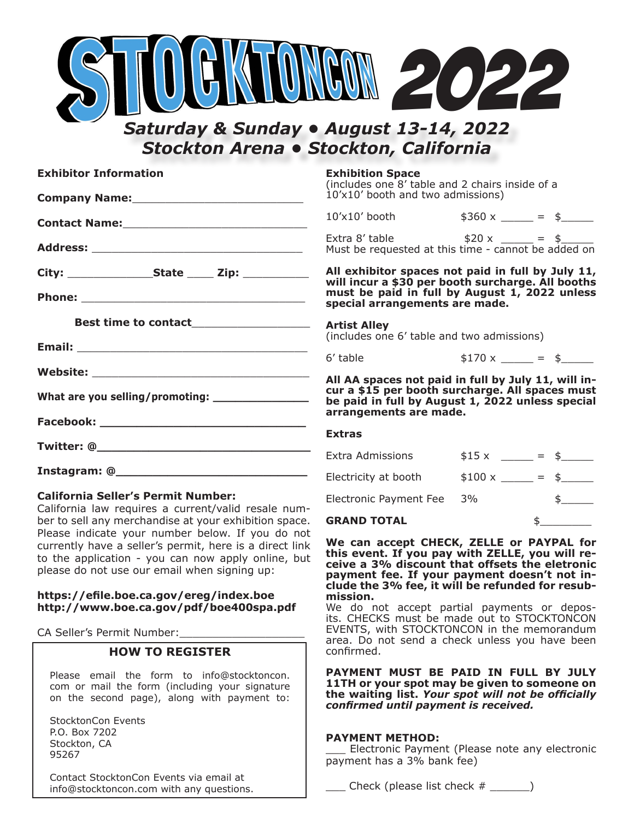

## *Saturday & Sunday • August 13-14, 2022 Stockton Arena • Stockton, California*

| <b>Exhibitor Information</b>                     | Exhibit<br>(include<br>$10'$ x $10'$ |
|--------------------------------------------------|--------------------------------------|
|                                                  | $10^{\prime}$ x $10^{\prime}$        |
|                                                  | Extra 8'<br>Must be                  |
|                                                  | will inc                             |
|                                                  | must b<br>special                    |
|                                                  | (include                             |
|                                                  | 6' table                             |
| What are you selling/promoting: ________________ | All AA s<br>$cur$ a \$               |
|                                                  | be paid<br>arrango                   |
|                                                  | <b>Extras</b>                        |
|                                                  | Extra Ao                             |
|                                                  |                                      |

### **California Seller's Permit Number:**

California law requires a current/valid resale number to sell any merchandise at your exhibition space. Please indicate your number below. If you do not currently have a seller's permit, here is a direct link to the application - you can now apply online, but please do not use our email when signing up:

### **https://efile.boe.ca.gov/ereg/index.boe http://www.boe.ca.gov/pdf/boe400spa.pdf**

CA Seller's Permit Number:

### **HOW TO REGISTER**

Please email the form to info@stocktoncon. com or mail the form (including your signature on the second page), along with payment to:

StocktonCon Events P.O. Box 7202 Stockton, CA 95267

Contact StocktonCon Events via email at info@stocktoncon.com with any questions.

#### **Exhibition Space**

s one 8' table and 2 chairs inside of a booth and two admissions)

 $10^{10}$  booth  $10^{10}$   $10^{10}$   $10^{10}$   $10^{10}$   $10^{10}$   $10^{10}$   $10^{10}$   $10^{10}$   $10^{10}$   $10^{10}$   $10^{10}$   $10^{10}$   $10^{10}$   $10^{10}$   $10^{10}$   $10^{10}$   $10^{10}$   $10^{10}$   $10^{10}$   $10^{10}$   $10^{10}$   $10^{10}$   $10^{10}$ 

table  $$20 x \_ = $$ requested at this time - cannot be added on

**All exhibitor spaces not paid in full by July 11, will incur a \$30 per booth surcharge. All booths must be paid in full by August 1, 2022 unless special arrangements are made.**

#### **Artist Alley**

es one 6' table and two admissions)

 $$170 \times \_ = \_ $$ 

spaces not paid in full by July 11, will in**cur a \$15 per booth surcharge. All spaces must be paid in full by August 1, 2022 unless special arrangements are made.**

| <b>GRAND TOTAL</b>            |       |  |
|-------------------------------|-------|--|
| <b>Electronic Payment Fee</b> | 3%    |  |
| Electricity at booth          |       |  |
| <b>Extra Admissions</b>       | \$15x |  |

**We can accept CHECK, ZELLE or PAYPAL for this event. If you pay with ZELLE, you will receive a 3% discount that offsets the eletronic payment fee. If your payment doesn't not include the 3% fee, it will be refunded for resubmission.**

We do not accept partial payments or deposits. CHECKS must be made out to STOCKTONCON EVENTS, with STOCKTONCON in the memorandum area. Do not send a check unless you have been confirmed.

**PAYMENT MUST BE PAID IN FULL BY JULY 11TH or your spot may be given to someone on the waiting list.** *Your spot will not be officially confirmed until payment is received.*

#### **PAYMENT METHOD:**

\_\_\_ Electronic Payment (Please note any electronic payment has a 3% bank fee)

Check (please list check  $#$  )